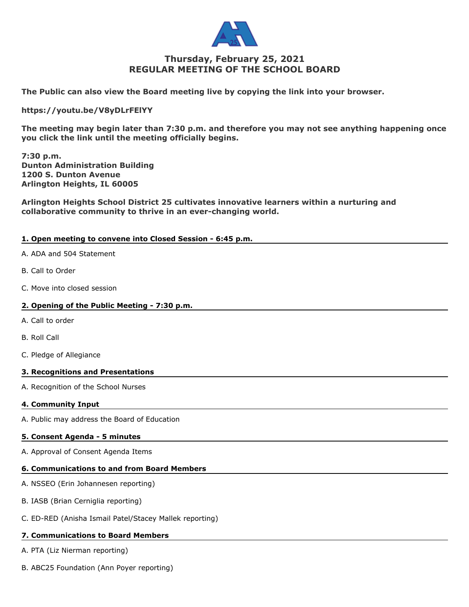

# **Thursday, February 25, 2021 REGULAR MEETING OF THE SCHOOL BOARD**

**The Public can also view the Board meeting live by copying the link into your browser.** 

**https://youtu.be/V8yDLrFElYY**

**The meeting may begin later than 7:30 p.m. and therefore you may not see anything happening once you click the link until the meeting officially begins.**

**7:30 p.m. Dunton Administration Building 1200 S. Dunton Avenue Arlington Heights, IL 60005**

**Arlington Heights School District 25 cultivates innovative learners within a nurturing and collaborative community to thrive in an ever-changing world.**

# **1. Open meeting to convene into Closed Session - 6:45 p.m.**

- A. ADA and 504 Statement
- B. Call to Order
- C. Move into closed session

## **2. Opening of the Public Meeting - 7:30 p.m.**

- A. Call to order
- B. Roll Call
- C. Pledge of Allegiance

## **3. Recognitions and Presentations**

A. Recognition of the School Nurses

## **4. Community Input**

A. Public may address the Board of Education

## **5. Consent Agenda - 5 minutes**

A. Approval of Consent Agenda Items

## **6. Communications to and from Board Members**

- A. NSSEO (Erin Johannesen reporting)
- B. IASB (Brian Cerniglia reporting)
- C. ED-RED (Anisha Ismail Patel/Stacey Mallek reporting)

## **7. Communications to Board Members**

A. PTA (Liz Nierman reporting)

B. ABC25 Foundation (Ann Poyer reporting)